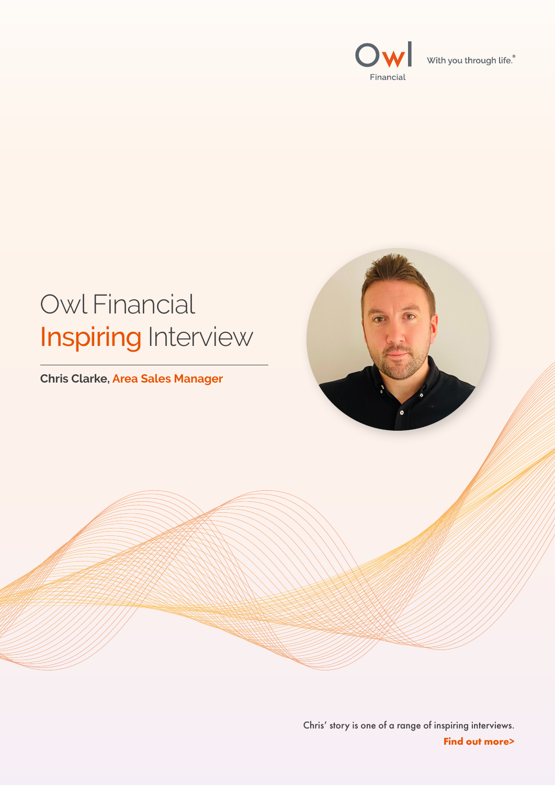



### Chris' story is one of a range of inspiring interviews. **Find out more>**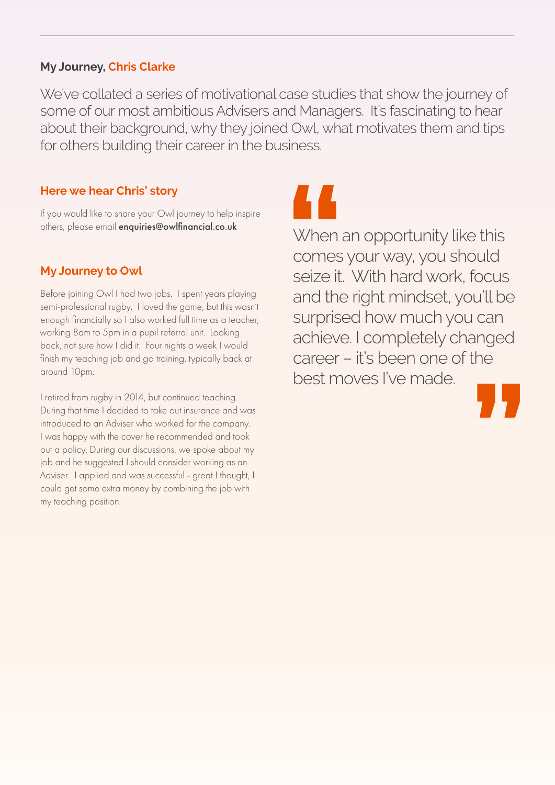We've collated a series of motivational case studies that show the journey of some of our most ambitious Advisers and Managers. It's fascinating to hear about their background, why they joined Owl, what motivates them and tips for others building their career in the business.

> **Mandaller**<br> **Whend**<br> **Seize it.**<br>
> and the **"** When an opportunity like this comes your way, you should seize it. With hard work, focus and the right mindset, you'll be surprised how much you can achieve. I completely changed career – it's been one of the best moves I've made.

## **My Journey, Chris Clarke**

**Here we hear Chris' story**

If you would like to share your Owl journey to help inspire others, please email enquiries@owlfinancial.co.uk

## **My Journey to Owl**

I retired from rugby in 2014, but continued teaching. During that time I decided to take out insurance and was introduced to an Adviser who worked for the company. I was happy with the cover he recommended and took out a policy. During our discussions, we spoke about my job and he suggested I should consider working as an Adviser. I applied and was successful - great I thought, I could get some extra money by combining the job with my teaching position.



Before joining Owl I had two jobs. I spent years playing semi-professional rugby. I loved the game, but this wasn't enough financially so I also worked full time as a teacher, working 8am to 5pm in a pupil referral unit. Looking back, not sure how I did it. Four nights a week I would finish my teaching job and go training, typically back at around 10pm.